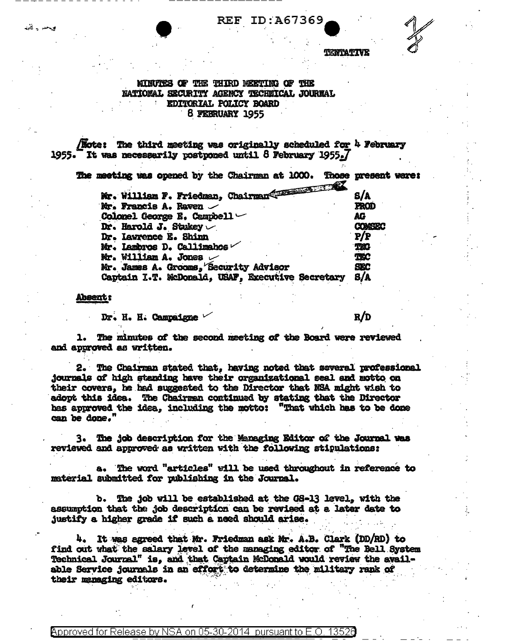**REF ID:A67369** 

TERTATIVE

## MINUTES OF THE THIRD MEETING OF THE **NATIONAL SECURITY AGENCY TECHNICAL JOURNAL** EDITORIAL POLICY BOARD 8 FEBRUARY 1955

**Note:** The third meeting was originally scheduled for  $h$  February 1955. It was necessarily postponed until 8 February 1955.7

| The meeting was opened by the Chairman at 1000.  | Those present were: |
|--------------------------------------------------|---------------------|
| Mr. William F. Friedman, Chairman (1999–1999)    | 8/A                 |
| Mr. Francis A. Raven                             | PROD                |
| Colonel George E. Campbell $\smile$              | AG                  |
| Dr. Harold J. Stukey $\vee$                      | <b>COMSEC</b>       |
| Dr. Lawrence E. Shinn                            | P/P                 |
| Mr. Lambros D. Callimahos                        | <b>THO</b>          |
| Mr. William A. Jones                             | <b>TEC</b>          |
| Mr. James A. Grooms, Security Advisor            | <b>SEC</b>          |
| Captain I.T. McDonald, USAF, Executive Secretary | S/A                 |
|                                                  |                     |

**Absent:** 

فيحد ياقليها

Dr. H. H. Campaigne "

 $R/D$ 

1. The minutes of the second meeting of the Board were reviewed and approved as written.

2. The Chairman stated that, having noted that several professional journals of high standing have their organizational seal and motto on their covers. he had suggested to the Director that NSA might wish to adopt this idea. The Chairman continued by stating that the Director has approved the idea, including the motto: "That which has to be done can be done."

3. The job description for the Managing Editor of the Journal was reviewed and approved as written with the following stipulations:

a. The word "articles" will be used throughout in reference to material submitted for publishing in the Journal.

b. The job will be established at the GS-13 level. with the assumption that the job description can be revised at a later date to justify a higher grade if such a need should arise.

4. It was agreed that Mr. Friedman ask Mr. A.B. Clark (DD/RD) to find out what the salary level of the managing editor of "The Bell System Technical Journal" is, and that Captain McDonald would review the available Service journals in an effort to determine the military rank of their manaxing editors.